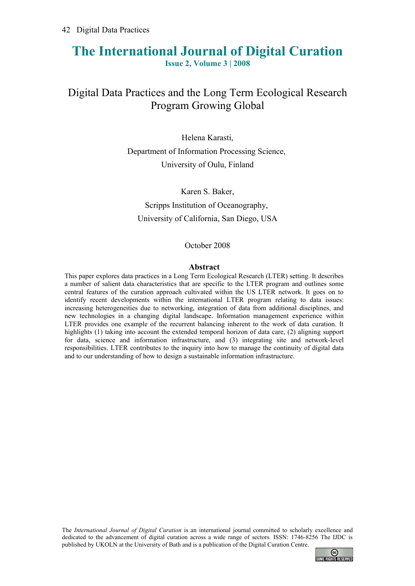# **The International Journal of Digital Curation**

**Issue 2, Volume 3 | 2008**

# Digital Data Practices and the Long Term Ecological Research Program Growing Global

Helena Karasti, Department of Information Processing Science, University of Oulu, Finland

Karen S. Baker, Scripps Institution of Oceanography, University of California, San Diego, USA

#### October 2008

#### **Abstract**

This paper explores data practices in a Long Term Ecological Research (LTER) setting. It describes a number of salient data characteristics that are specific to the LTER program and outlines some central features of the curation approach cultivated within the US LTER network. It goes on to identify recent developments within the international LTER program relating to data issues: increasing heterogeneities due to networking, integration of data from additional disciplines, and new technologies in a changing digital landscape. Information management experience within LTER provides one example of the recurrent balancing inherent to the work of data curation. It highlights (1) taking into account the extended temporal horizon of data care, (2) aligning support for data, science and information infrastructure, and (3) integrating site and network-level responsibilities. LTER contributes to the inquiry into how to manage the continuity of digital data and to our understanding of how to design a sustainable information infrastructure.

The *International Journal of Digital Curation* is an international journal committed to scholarly excellence and dedicated to the advancement of digital curation across a wide range of sectors. ISSN: 1746-8256 The IJDC is published by UKOLN at the University of Bath and is a publication of the Digital Curation Centre.

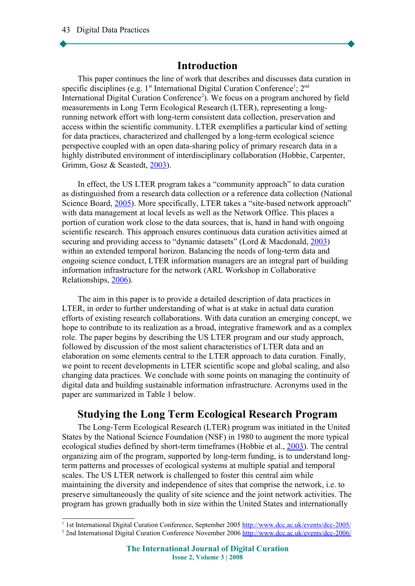## **Introduction**

This paper continues the line of work that describes and discusses data curation in specific disciplines (e.g.  $1<sup>st</sup>$  $1<sup>st</sup>$  International Digital Curation Conference<sup>1</sup>;  $2<sup>nd</sup>$ International Digital Curation Conference<sup>[2](#page-1-1)</sup>). We focus on a program anchored by field measurements in Long Term Ecological Research (LTER), representing a longrunning network effort with long-term consistent data collection, preservation and access within the scientific community. LTER exemplifies a particular kind of setting for data practices, characterized and challenged by a long-term ecological science perspective coupled with an open data-sharing policy of primary research data in a highly distributed environment of interdisciplinary collaboration (Hobbie, Carpenter, Grimm, Gosz & Seastedt, [2003\)](#page-15-0).

In effect, the US LTER program takes a "community approach" to data curation as distinguished from a research data collection or a reference data collection (National Science Board, [2005\)](#page-16-0). More specifically, LTER takes a "site-based network approach" with data management at local levels as well as the Network Office. This places a portion of curation work close to the data sources, that is, hand in hand with ongoing scientific research. This approach ensures continuous data curation activities aimed at securing and providing access to "dynamic datasets" (Lord & Macdonald, [2003\)](#page-15-1) within an extended temporal horizon. Balancing the needs of long-term data and ongoing science conduct, LTER information managers are an integral part of building information infrastructure for the network (ARL Workshop in Collaborative Relationships, [2006\)](#page-14-0).

The aim in this paper is to provide a detailed description of data practices in LTER, in order to further understanding of what is at stake in actual data curation efforts of existing research collaborations. With data curation an emerging concept, we hope to contribute to its realization as a broad, integrative framework and as a complex role. The paper begins by describing the US LTER program and our study approach, followed by discussion of the most salient characteristics of LTER data and an elaboration on some elements central to the LTER approach to data curation. Finally, we point to recent developments in LTER scientific scope and global scaling, and also changing data practices. We conclude with some points on managing the continuity of digital data and building sustainable information infrastructure. Acronyms used in the paper are summarized in Table 1 below.

# **Studying the Long Term Ecological Research Program**

The Long-Term Ecological Research (LTER) program was initiated in the United States by the National Science Foundation (NSF) in 1980 to augment the more typical ecological studies defined by short-term timeframes (Hobbie et al., [2003\)](#page-15-0). The central organizing aim of the program, supported by long-term funding, is to understand longterm patterns and processes of ecological systems at multiple spatial and temporal scales. The US LTER network is challenged to foster this central aim while maintaining the diversity and independence of sites that comprise the network, i.e. to preserve simultaneously the quality of site science and the joint network activities. The program has grown gradually both in size within the United States and internationally

<span id="page-1-0"></span><sup>&</sup>lt;sup>1</sup> 1st International Digital Curation Conference, September 2005<http://www.dcc.ac.uk/events/dcc-2005/>

<span id="page-1-1"></span><sup>&</sup>lt;sup>2</sup> 2nd International Digital Curation Conference November 2006<http://www.dcc.ac.uk/events/dcc-2006/>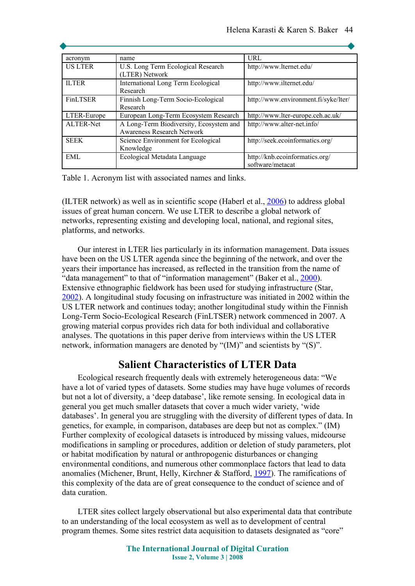| acronym          | name                                    | URL                                  |
|------------------|-----------------------------------------|--------------------------------------|
| <b>US LTER</b>   | U.S. Long Term Ecological Research      | http://www.lternet.edu/              |
|                  | (LTER) Network                          |                                      |
| <b>ILTER</b>     | International Long Term Ecological      | http://www.ilternet.edu/             |
|                  | Research                                |                                      |
| <b>FinLTSER</b>  | Finnish Long-Term Socio-Ecological      | http://www.environment.fi/syke/lter/ |
|                  | Research                                |                                      |
| LTER-Europe      | European Long-Term Ecosystem Research   | http://www.lter-europe.ceh.ac.uk/    |
| <b>ALTER-Net</b> | A Long-Term Biodiversity, Ecosystem and | http://www.alter-net.info/           |
|                  | <b>Awareness Research Network</b>       |                                      |
| <b>SEEK</b>      | Science Environment for Ecological      | http://seek.ecoinformatics.org/      |
|                  | Knowledge                               |                                      |
| EML              | Ecological Metadata Language            | http://knb.ecoinformatics.org/       |
|                  |                                         | software/metacat                     |

Table 1. Acronym list with associated names and links.

(ILTER network) as well as in scientific scope (Haberl et al.,  $2006$ ) to address global issues of great human concern. We use LTER to describe a global network of networks, representing existing and developing local, national, and regional sites, platforms, and networks.

Our interest in LTER lies particularly in its information management. Data issues have been on the US LTER agenda since the beginning of the network, and over the years their importance has increased, as reflected in the transition from the name of "data management" to that of "information management" (Baker et al., [2000\)](#page-14-1). Extensive ethnographic fieldwork has been used for studying infrastructure (Star, [2002\)](#page-16-1). A longitudinal study focusing on infrastructure was initiated in 2002 within the US LTER network and continues today; another longitudinal study within the Finnish Long-Term Socio-Ecological Research (FinLTSER) network commenced in 2007. A growing material corpus provides rich data for both individual and collaborative analyses. The quotations in this paper derive from interviews within the US LTER network, information managers are denoted by "(IM)" and scientists by "(S)".

## **Salient Characteristics of LTER Data**

Ecological research frequently deals with extremely heterogeneous data: "We have a lot of varied types of datasets. Some studies may have huge volumes of records but not a lot of diversity, a 'deep database', like remote sensing. In ecological data in general you get much smaller datasets that cover a much wider variety, 'wide databases'. In general you are struggling with the diversity of different types of data. In genetics, for example, in comparison, databases are deep but not as complex." (IM) Further complexity of ecological datasets is introduced by missing values, midcourse modifications in sampling or procedures, addition or deletion of study parameters, plot or habitat modification by natural or anthropogenic disturbances or changing environmental conditions, and numerous other commonplace factors that lead to data anomalies (Michener, Brunt, Helly, Kirchner & Stafford, [1997\)](#page-15-2). The ramifications of this complexity of the data are of great consequence to the conduct of science and of data curation.

LTER sites collect largely observational but also experimental data that contribute to an understanding of the local ecosystem as well as to development of central program themes. Some sites restrict data acquisition to datasets designated as "core"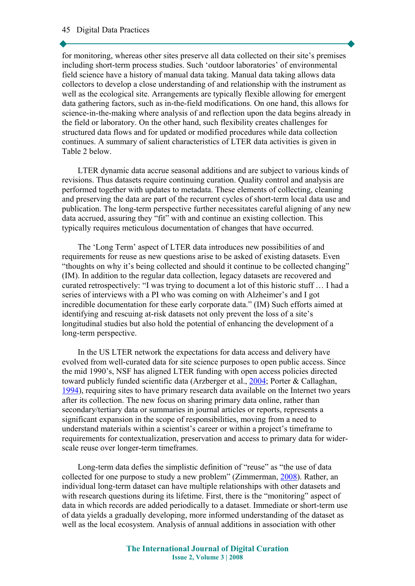for monitoring, whereas other sites preserve all data collected on their site's premises including short-term process studies. Such 'outdoor laboratories' of environmental field science have a history of manual data taking. Manual data taking allows data collectors to develop a close understanding of and relationship with the instrument as well as the ecological site. Arrangements are typically flexible allowing for emergent data gathering factors, such as in-the-field modifications. On one hand, this allows for science-in-the-making where analysis of and reflection upon the data begins already in the field or laboratory. On the other hand, such flexibility creates challenges for structured data flows and for updated or modified procedures while data collection continues. A summary of salient characteristics of LTER data activities is given in Table 2 below.

LTER dynamic data accrue seasonal additions and are subject to various kinds of revisions. Thus datasets require continuing curation. Quality control and analysis are performed together with updates to metadata. These elements of collecting, cleaning and preserving the data are part of the recurrent cycles of short-term local data use and publication. The long-term perspective further necessitates careful aligning of any new data accrued, assuring they "fit" with and continue an existing collection. This typically requires meticulous documentation of changes that have occurred.

The 'Long Term' aspect of LTER data introduces new possibilities of and requirements for reuse as new questions arise to be asked of existing datasets. Even "thoughts on why it's being collected and should it continue to be collected changing" (IM). In addition to the regular data collection, legacy datasets are recovered and curated retrospectively: "I was trying to document a lot of this historic stuff … I had a series of interviews with a PI who was coming on with Alzheimer's and I got incredible documentation for these early corporate data." (IM) Such efforts aimed at identifying and rescuing at-risk datasets not only prevent the loss of a site's longitudinal studies but also hold the potential of enhancing the development of a long-term perspective.

In the US LTER network the expectations for data access and delivery have evolved from well-curated data for site science purposes to open public access. Since the mid 1990's, NSF has aligned LTER funding with open access policies directed toward publicly funded scientific data (Arzberger et al., [2004;](#page-14-2) Porter & Callaghan, [1994\)](#page-16-3), requiring sites to have primary research data available on the Internet two years after its collection. The new focus on sharing primary data online, rather than secondary/tertiary data or summaries in journal articles or reports, represents a significant expansion in the scope of responsibilities, moving from a need to understand materials within a scientist's career or within a project's timeframe to requirements for contextualization, preservation and access to primary data for widerscale reuse over longer-term timeframes.

Long-term data defies the simplistic definition of "reuse" as "the use of data collected for one purpose to study a new problem" (Zimmerman, [2008\)](#page-16-2). Rather, an individual long-term dataset can have multiple relationships with other datasets and with research questions during its lifetime. First, there is the "monitoring" aspect of data in which records are added periodically to a dataset. Immediate or short-term use of data yields a gradually developing, more informed understanding of the dataset as well as the local ecosystem. Analysis of annual additions in association with other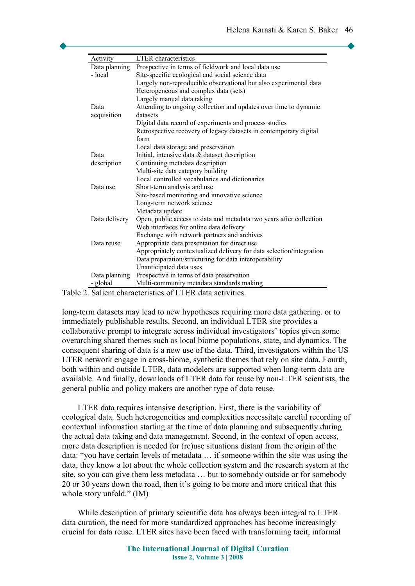| Activity      | <b>LTER</b> characteristics                                          |  |
|---------------|----------------------------------------------------------------------|--|
| Data planning | Prospective in terms of fieldwork and local data use                 |  |
| - local       | Site-specific ecological and social science data                     |  |
|               | Largely non-reproducible observational but also experimental data    |  |
|               | Heterogeneous and complex data (sets)                                |  |
|               | Largely manual data taking                                           |  |
| Data          | Attending to ongoing collection and updates over time to dynamic     |  |
| acquisition   | datasets                                                             |  |
|               | Digital data record of experiments and process studies               |  |
|               | Retrospective recovery of legacy datasets in contemporary digital    |  |
|               | form                                                                 |  |
|               | Local data storage and preservation                                  |  |
| Data          | Initial, intensive data & dataset description                        |  |
| description   | Continuing metadata description                                      |  |
|               | Multi-site data category building                                    |  |
|               | Local controlled vocabularies and dictionaries                       |  |
| Data use      | Short-term analysis and use                                          |  |
|               | Site-based monitoring and innovative science                         |  |
|               | Long-term network science                                            |  |
|               | Metadata update                                                      |  |
| Data delivery | Open, public access to data and metadata two years after collection  |  |
|               | Web interfaces for online data delivery                              |  |
|               | Exchange with network partners and archives                          |  |
| Data reuse    | Appropriate data presentation for direct use                         |  |
|               | Appropriately contextualized delivery for data selection/integration |  |
|               | Data preparation/structuring for data interoperability               |  |
|               | Unanticipated data uses                                              |  |
| Data planning | Prospective in terms of data preservation                            |  |
| - global      | Multi-community metadata standards making                            |  |

Table 2. Salient characteristics of LTER data activities.

long-term datasets may lead to new hypotheses requiring more data gathering. or to immediately publishable results. Second, an individual LTER site provides a collaborative prompt to integrate across individual investigators' topics given some overarching shared themes such as local biome populations, state, and dynamics. The consequent sharing of data is a new use of the data. Third, investigators within the US LTER network engage in cross-biome, synthetic themes that rely on site data. Fourth, both within and outside LTER, data modelers are supported when long-term data are available. And finally, downloads of LTER data for reuse by non-LTER scientists, the general public and policy makers are another type of data reuse.

LTER data requires intensive description. First, there is the variability of ecological data. Such heterogeneities and complexities necessitate careful recording of contextual information starting at the time of data planning and subsequently during the actual data taking and data management. Second, in the context of open access, more data description is needed for (re)use situations distant from the origin of the data: "you have certain levels of metadata … if someone within the site was using the data, they know a lot about the whole collection system and the research system at the site, so you can give them less metadata … but to somebody outside or for somebody 20 or 30 years down the road, then it's going to be more and more critical that this whole story unfold." (IM)

While description of primary scientific data has always been integral to LTER data curation, the need for more standardized approaches has become increasingly crucial for data reuse. LTER sites have been faced with transforming tacit, informal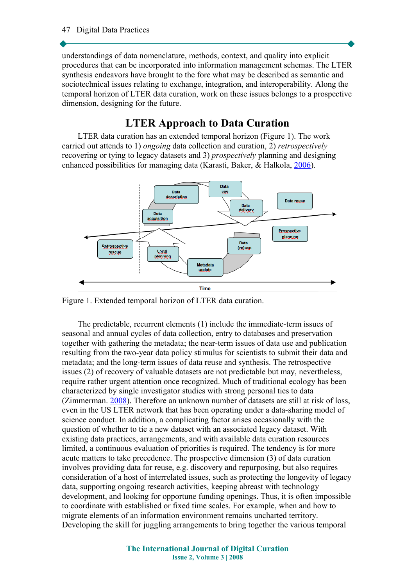understandings of data nomenclature, methods, context, and quality into explicit procedures that can be incorporated into information management schemas. The LTER synthesis endeavors have brought to the fore what may be described as semantic and sociotechnical issues relating to exchange, integration, and interoperability. Along the temporal horizon of LTER data curation, work on these issues belongs to a prospective dimension, designing for the future.

## **LTER Approach to Data Curation**

LTER data curation has an extended temporal horizon (Figure 1). The work carried out attends to 1) *ongoing* data collection and curation, 2) *retrospectively* recovering or tying to legacy datasets and 3) *prospectively* planning and designing enhanced possibilities for managing data (Karasti, Baker, & Halkola, [2006\)](#page-15-4).



Figure 1. Extended temporal horizon of LTER data curation.

The predictable, recurrent elements (1) include the immediate-term issues of seasonal and annual cycles of data collection, entry to databases and preservation together with gathering the metadata; the near-term issues of data use and publication resulting from the two-year data policy stimulus for scientists to submit their data and metadata; and the long-term issues of data reuse and synthesis. The retrospective issues (2) of recovery of valuable datasets are not predictable but may, nevertheless, require rather urgent attention once recognized. Much of traditional ecology has been characterized by single investigator studies with strong personal ties to data (Zimmerman. [2008\)](#page-16-2). Therefore an unknown number of datasets are still at risk of loss, even in the US LTER network that has been operating under a data-sharing model of science conduct. In addition, a complicating factor arises occasionally with the question of whether to tie a new dataset with an associated legacy dataset. With existing data practices, arrangements, and with available data curation resources limited, a continuous evaluation of priorities is required. The tendency is for more acute matters to take precedence. The prospective dimension (3) of data curation involves providing data for reuse, e.g. discovery and repurposing, but also requires consideration of a host of interrelated issues, such as protecting the longevity of legacy data, supporting ongoing research activities, keeping abreast with technology development, and looking for opportune funding openings. Thus, it is often impossible to coordinate with established or fixed time scales. For example, when and how to migrate elements of an information environment remains uncharted territory. Developing the skill for juggling arrangements to bring together the various temporal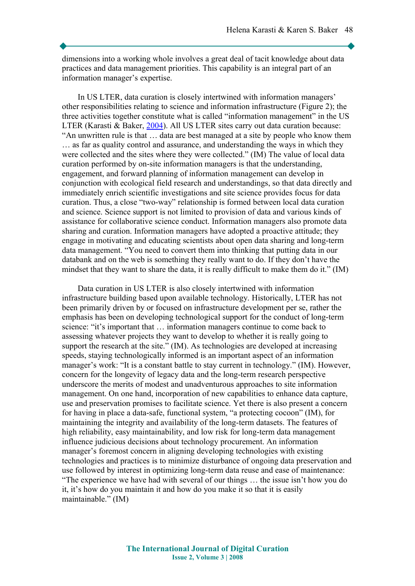dimensions into a working whole involves a great deal of tacit knowledge about data practices and data management priorities. This capability is an integral part of an information manager's expertise.

In US LTER, data curation is closely intertwined with information managers' other responsibilities relating to science and information infrastructure (Figure 2); the three activities together constitute what is called "information management" in the US LTER (Karasti & Baker, [2004\)](#page-15-5). All US LTER sites carry out data curation because: "An unwritten rule is that … data are best managed at a site by people who know them … as far as quality control and assurance, and understanding the ways in which they were collected and the sites where they were collected." (IM) The value of local data curation performed by on-site information managers is that the understanding, engagement, and forward planning of information management can develop in conjunction with ecological field research and understandings, so that data directly and immediately enrich scientific investigations and site science provides focus for data curation. Thus, a close "two-way" relationship is formed between local data curation and science. Science support is not limited to provision of data and various kinds of assistance for collaborative science conduct. Information managers also promote data sharing and curation. Information managers have adopted a proactive attitude; they engage in motivating and educating scientists about open data sharing and long-term data management. "You need to convert them into thinking that putting data in our databank and on the web is something they really want to do. If they don't have the mindset that they want to share the data, it is really difficult to make them do it." (IM)

Data curation in US LTER is also closely intertwined with information infrastructure building based upon available technology. Historically, LTER has not been primarily driven by or focused on infrastructure development per se, rather the emphasis has been on developing technological support for the conduct of long-term science: "it's important that … information managers continue to come back to assessing whatever projects they want to develop to whether it is really going to support the research at the site." (IM). As technologies are developed at increasing speeds, staying technologically informed is an important aspect of an information manager's work: "It is a constant battle to stay current in technology." (IM). However, concern for the longevity of legacy data and the long-term research perspective underscore the merits of modest and unadventurous approaches to site information management. On one hand, incorporation of new capabilities to enhance data capture, use and preservation promises to facilitate science. Yet there is also present a concern for having in place a data-safe, functional system, "a protecting cocoon" (IM), for maintaining the integrity and availability of the long-term datasets. The features of high reliability, easy maintainability, and low risk for long-term data management influence judicious decisions about technology procurement. An information manager's foremost concern in aligning developing technologies with existing technologies and practices is to minimize disturbance of ongoing data preservation and use followed by interest in optimizing long-term data reuse and ease of maintenance: "The experience we have had with several of our things … the issue isn't how you do it, it's how do you maintain it and how do you make it so that it is easily maintainable." (IM)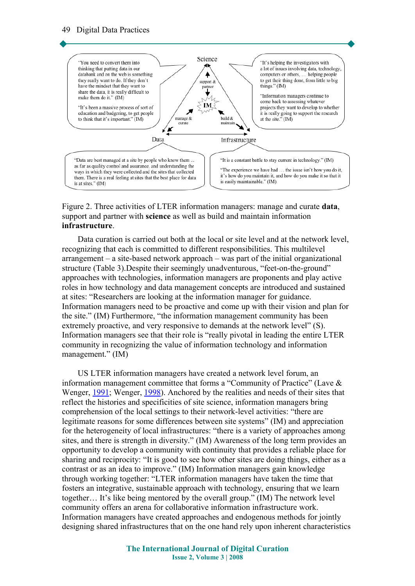

#### Figure 2. Three activities of LTER information managers: manage and curate **data**, support and partner with **science** as well as build and maintain information **infrastructure**.

Data curation is carried out both at the local or site level and at the network level, recognizing that each is committed to different responsibilities. This multilevel arrangement – a site-based network approach – was part of the initial organizational structure (Table 3).Despite their seemingly unadventurous, "feet-on-the-ground" approaches with technologies, information managers are proponents and play active roles in how technology and data management concepts are introduced and sustained at sites: "Researchers are looking at the information manager for guidance. Information managers need to be proactive and come up with their vision and plan for the site." (IM) Furthermore, "the information management community has been extremely proactive, and very responsive to demands at the network level" (S). Information managers see that their role is "really pivotal in leading the entire LTER community in recognizing the value of information technology and information management." (IM)

US LTER information managers have created a network level forum, an information management committee that forms a "Community of Practice" (Lave & Wenger, [1991;](#page-15-6) Wenger, [1998\)](#page-16-4). Anchored by the realities and needs of their sites that reflect the histories and specificities of site science, information managers bring comprehension of the local settings to their network-level activities: "there are legitimate reasons for some differences between site systems" (IM) and appreciation for the heterogeneity of local infrastructures: "there is a variety of approaches among sites, and there is strength in diversity." (IM) Awareness of the long term provides an opportunity to develop a community with continuity that provides a reliable place for sharing and reciprocity: "It is good to see how other sites are doing things, either as a contrast or as an idea to improve." (IM) Information managers gain knowledge through working together: "LTER information managers have taken the time that fosters an integrative, sustainable approach with technology, ensuring that we learn together… It's like being mentored by the overall group." (IM) The network level community offers an arena for collaborative information infrastructure work. Information managers have created approaches and endogenous methods for jointly designing shared infrastructures that on the one hand rely upon inherent characteristics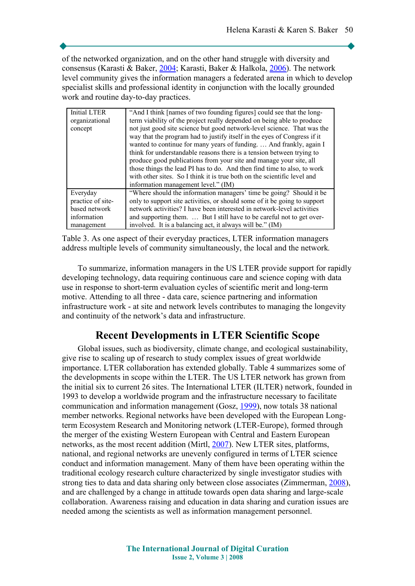of the networked organization, and on the other hand struggle with diversity and consensus (Karasti & Baker, [2004;](#page-15-5) Karasti, Baker & Halkola, [2006\)](#page-15-4). The network level community gives the information managers a federated arena in which to develop specialist skills and professional identity in conjunction with the locally grounded work and routine day-to-day practices.

| <b>Initial LTER</b> | "And I think [names of two founding figures] could see that the long-     |  |
|---------------------|---------------------------------------------------------------------------|--|
| organizational      | term viability of the project really depended on being able to produce    |  |
| concept             | not just good site science but good network-level science. That was the   |  |
|                     | way that the program had to justify itself in the eyes of Congress if it  |  |
|                     | wanted to continue for many years of funding.  And frankly, again I       |  |
|                     | think for understandable reasons there is a tension between trying to     |  |
|                     | produce good publications from your site and manage your site, all        |  |
|                     | those things the lead PI has to do. And then find time to also, to work   |  |
|                     | with other sites. So I think it is true both on the scientific level and  |  |
|                     | information management level." (IM)                                       |  |
| Everyday            | "Where should the information managers' time be going? Should it be       |  |
| practice of site-   | only to support site activities, or should some of it be going to support |  |
| based network       | network activities? I have been interested in network-level activities    |  |
| information         | and supporting them.  But I still have to be careful not to get over-     |  |
| management          | involved. It is a balancing act, it always will be." (IM)                 |  |

Table 3. As one aspect of their everyday practices, LTER information managers address multiple levels of community simultaneously, the local and the network*.*

To summarize, information managers in the US LTER provide support for rapidly developing technology, data requiring continuous care and science coping with data use in response to short-term evaluation cycles of scientific merit and long-term motive. Attending to all three - data care, science partnering and information infrastructure work - at site and network levels contributes to managing the longevity and continuity of the network's data and infrastructure.

## **Recent Developments in LTER Scientific Scope**

Global issues, such as biodiversity, climate change, and ecological sustainability, give rise to scaling up of research to study complex issues of great worldwide importance. LTER collaboration has extended globally. Table 4 summarizes some of the developments in scope within the LTER. The US LTER network has grown from the initial six to current 26 sites. The International LTER (ILTER) network, founded in 1993 to develop a worldwide program and the infrastructure necessary to facilitate communication and information management (Gosz, [1999\)](#page-15-7), now totals 38 national member networks. Regional networks have been developed with the European Longterm Ecosystem Research and Monitoring network (LTER-Europe), formed through the merger of the existing Western European with Central and Eastern European networks, as the most recent addition (Mirtl, [2007\)](#page-16-5). New LTER sites, platforms, national, and regional networks are unevenly configured in terms of LTER science conduct and information management. Many of them have been operating within the traditional ecology research culture characterized by single investigator studies with strong ties to data and data sharing only between close associates (Zimmerman, [2008\)](#page-16-2), and are challenged by a change in attitude towards open data sharing and large-scale collaboration. Awareness raising and education in data sharing and curation issues are needed among the scientists as well as information management personnel.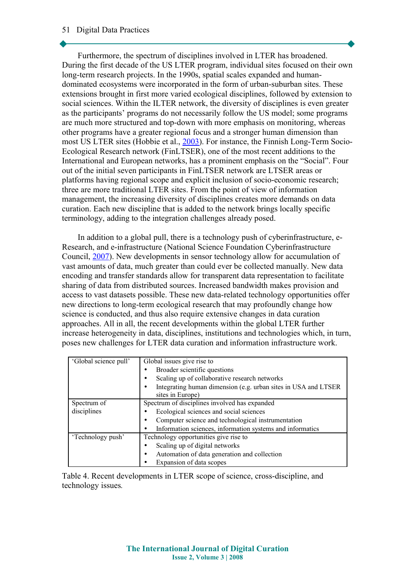#### 51 Digital Data Practices

Furthermore, the spectrum of disciplines involved in LTER has broadened. During the first decade of the US LTER program, individual sites focused on their own long-term research projects. In the 1990s, spatial scales expanded and humandominated ecosystems were incorporated in the form of urban-suburban sites. These extensions brought in first more varied ecological disciplines, followed by extension to social sciences. Within the ILTER network, the diversity of disciplines is even greater as the participants' programs do not necessarily follow the US model; some programs are much more structured and top-down with more emphasis on monitoring, whereas other programs have a greater regional focus and a stronger human dimension than most US LTER sites (Hobbie et al., [2003\)](#page-15-0). For instance, the Finnish Long-Term Socio-Ecological Research network (FinLTSER), one of the most recent additions to the International and European networks, has a prominent emphasis on the "Social". Four out of the initial seven participants in FinLTSER network are LTSER areas or platforms having regional scope and explicit inclusion of socio-economic research; three are more traditional LTER sites. From the point of view of information management, the increasing diversity of disciplines creates more demands on data curation. Each new discipline that is added to the network brings locally specific terminology, adding to the integration challenges already posed.

In addition to a global pull, there is a technology push of cyberinfrastructure, e-Research, and e-infrastructure (National Science Foundation Cyberinfrastructure Council, [2007\)](#page-16-6). New developments in sensor technology allow for accumulation of vast amounts of data, much greater than could ever be collected manually. New data encoding and transfer standards allow for transparent data representation to facilitate sharing of data from distributed sources. Increased bandwidth makes provision and access to vast datasets possible. These new data-related technology opportunities offer new directions to long-term ecological research that may profoundly change how science is conducted, and thus also require extensive changes in data curation approaches. All in all, the recent developments within the global LTER further increase heterogeneity in data, disciplines, institutions and technologies which, in turn, poses new challenges for LTER data curation and information infrastructure work.

| 'Global science pull' | Global issues give rise to                                     |  |
|-----------------------|----------------------------------------------------------------|--|
|                       | Broader scientific questions                                   |  |
|                       | Scaling up of collaborative research networks                  |  |
|                       | Integrating human dimension (e.g. urban sites in USA and LTSER |  |
|                       | sites in Europe)                                               |  |
| Spectrum of           | Spectrum of disciplines involved has expanded                  |  |
| disciplines           | Ecological sciences and social sciences                        |  |
|                       | Computer science and technological instrumentation             |  |
|                       | Information sciences, information systems and informatics      |  |
| 'Technology push'     | Technology opportunities give rise to                          |  |
|                       | Scaling up of digital networks                                 |  |
|                       | Automation of data generation and collection                   |  |
|                       | Expansion of data scopes                                       |  |

Table 4. Recent developments in LTER scope of science, cross-discipline, and technology issues*.*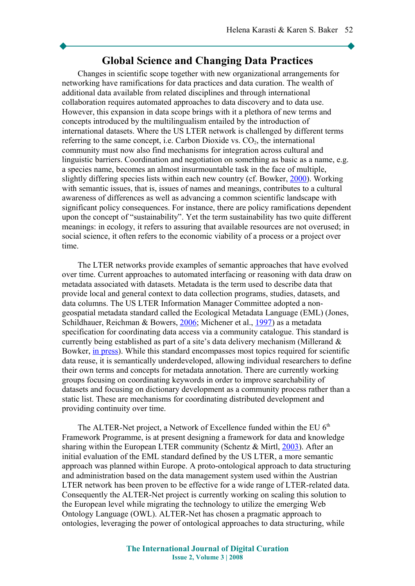## **Global Science and Changing Data Practices**

Changes in scientific scope together with new organizational arrangements for networking have ramifications for data practices and data curation. The wealth of additional data available from related disciplines and through international collaboration requires automated approaches to data discovery and to data use. However, this expansion in data scope brings with it a plethora of new terms and concepts introduced by the multilingualism entailed by the introduction of international datasets. Where the US LTER network is challenged by different terms referring to the same concept, i.e. Carbon Dioxide vs.  $CO<sub>2</sub>$ , the international community must now also find mechanisms for integration across cultural and linguistic barriers. Coordination and negotiation on something as basic as a name, e.g. a species name, becomes an almost insurmountable task in the face of multiple, slightly differing species lists within each new country (cf. Bowker, [2000\)](#page-14-3). Working with semantic issues, that is, issues of names and meanings, contributes to a cultural awareness of differences as well as advancing a common scientific landscape with significant policy consequences. For instance, there are policy ramifications dependent upon the concept of "sustainability". Yet the term sustainability has two quite different meanings: in ecology, it refers to assuring that available resources are not overused; in social science, it often refers to the economic viability of a process or a project over time.

The LTER networks provide examples of semantic approaches that have evolved over time. Current approaches to automated interfacing or reasoning with data draw on metadata associated with datasets. Metadata is the term used to describe data that provide local and general context to data collection programs, studies, datasets, and data columns. The US LTER Information Manager Committee adopted a nongeospatial metadata standard called the Ecological Metadata Language (EML) (Jones, Schildhauer, Reichman & Bowers, [2006;](#page-15-8) Michener et al., [1997\)](#page-15-2) as a metadata specification for coordinating data access via a community catalogue. This standard is currently being established as part of a site's data delivery mechanism (Millerand & Bowker, [in press\)](#page-16-8). While this standard encompasses most topics required for scientific data reuse, it is semantically underdeveloped, allowing individual researchers to define their own terms and concepts for metadata annotation. There are currently working groups focusing on coordinating keywords in order to improve searchability of datasets and focusing on dictionary development as a community process rather than a static list. These are mechanisms for coordinating distributed development and providing continuity over time.

The ALTER-Net project, a Network of Excellence funded within the EU  $6<sup>th</sup>$ Framework Programme, is at present designing a framework for data and knowledge sharing within the European LTER community (Schentz  $&$  Mirtl, [2003\)](#page-16-7). After an initial evaluation of the EML standard defined by the US LTER, a more semantic approach was planned within Europe. A proto-ontological approach to data structuring and administration based on the data management system used within the Austrian LTER network has been proven to be effective for a wide range of LTER-related data. Consequently the ALTER-Net project is currently working on scaling this solution to the European level while migrating the technology to utilize the emerging Web Ontology Language (OWL). ALTER-Net has chosen a pragmatic approach to ontologies, leveraging the power of ontological approaches to data structuring, while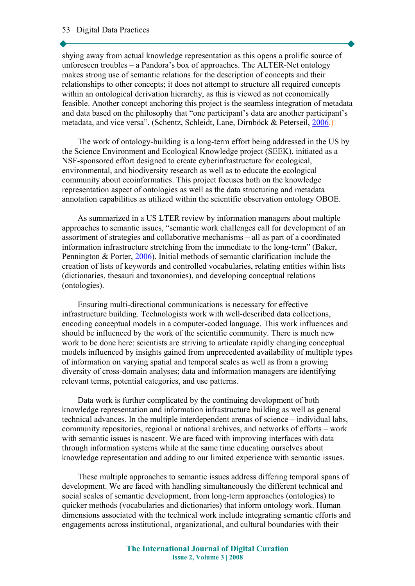shying away from actual knowledge representation as this opens a prolific source of unforeseen troubles – a Pandora's box of approaches. The ALTER-Net ontology makes strong use of semantic relations for the description of concepts and their relationships to other concepts; it does not attempt to structure all required concepts within an ontological derivation hierarchy, as this is viewed as not economically feasible. Another concept anchoring this project is the seamless integration of metadata and data based on the philosophy that "one participant's data are another participant's metadata, and vice versa". (Schentz, Schleidt, Lane, Dirnböck & Peterseil, [2006.](#page-16-9))

The work of ontology-building is a long-term effort being addressed in the US by the Science Environment and Ecological Knowledge project (SEEK), initiated as a NSF-sponsored effort designed to create cyberinfrastructure for ecological, environmental, and biodiversity research as well as to educate the ecological community about ecoinformatics. This project focuses both on the knowledge representation aspect of ontologies as well as the data structuring and metadata annotation capabilities as utilized within the scientific observation ontology OBOE.

As summarized in a US LTER review by information managers about multiple approaches to semantic issues, "semantic work challenges call for development of an assortment of strategies and collaborative mechanisms – all as part of a coordinated information infrastructure stretching from the immediate to the long-term" (Baker, Pennington & Porter, [2006\)](#page-14-4). Initial methods of semantic clarification include the creation of lists of keywords and controlled vocabularies, relating entities within lists (dictionaries, thesauri and taxonomies), and developing conceptual relations (ontologies).

Ensuring multi-directional communications is necessary for effective infrastructure building. Technologists work with well-described data collections, encoding conceptual models in a computer-coded language. This work influences and should be influenced by the work of the scientific community. There is much new work to be done here: scientists are striving to articulate rapidly changing conceptual models influenced by insights gained from unprecedented availability of multiple types of information on varying spatial and temporal scales as well as from a growing diversity of cross-domain analyses; data and information managers are identifying relevant terms, potential categories, and use patterns.

Data work is further complicated by the continuing development of both knowledge representation and information infrastructure building as well as general technical advances. In the multiple interdependent arenas of science – individual labs, community repositories, regional or national archives, and networks of efforts – work with semantic issues is nascent. We are faced with improving interfaces with data through information systems while at the same time educating ourselves about knowledge representation and adding to our limited experience with semantic issues.

These multiple approaches to semantic issues address differing temporal spans of development. We are faced with handling simultaneously the different technical and social scales of semantic development, from long-term approaches (ontologies) to quicker methods (vocabularies and dictionaries) that inform ontology work. Human dimensions associated with the technical work include integrating semantic efforts and engagements across institutional, organizational, and cultural boundaries with their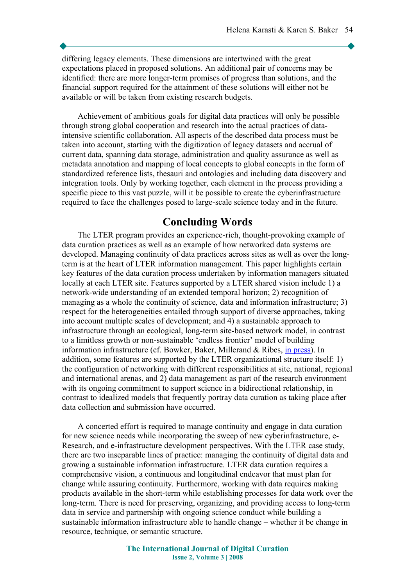differing legacy elements. These dimensions are intertwined with the great expectations placed in proposed solutions. An additional pair of concerns may be identified: there are more longer-term promises of progress than solutions, and the financial support required for the attainment of these solutions will either not be available or will be taken from existing research budgets.

Achievement of ambitious goals for digital data practices will only be possible through strong global cooperation and research into the actual practices of dataintensive scientific collaboration. All aspects of the described data process must be taken into account, starting with the digitization of legacy datasets and accrual of current data, spanning data storage, administration and quality assurance as well as metadata annotation and mapping of local concepts to global concepts in the form of standardized reference lists, thesauri and ontologies and including data discovery and integration tools. Only by working together, each element in the process providing a specific piece to this vast puzzle, will it be possible to create the cyberinfrastructure required to face the challenges posed to large-scale science today and in the future.

## **Concluding Words**

The LTER program provides an experience-rich, thought-provoking example of data curation practices as well as an example of how networked data systems are developed. Managing continuity of data practices across sites as well as over the longterm is at the heart of LTER information management. This paper highlights certain key features of the data curation process undertaken by information managers situated locally at each LTER site. Features supported by a LTER shared vision include 1) a network-wide understanding of an extended temporal horizon; 2) recognition of managing as a whole the continuity of science, data and information infrastructure; 3) respect for the heterogeneities entailed through support of diverse approaches, taking into account multiple scales of development; and 4) a sustainable approach to infrastructure through an ecological, long-term site-based network model, in contrast to a limitless growth or non-sustainable 'endless frontier' model of building information infrastructure (cf. Bowker, Baker, Millerand & Ribes, [in press\)](#page-14-5). In addition, some features are supported by the LTER organizational structure itself: 1) the configuration of networking with different responsibilities at site, national, regional and international arenas, and 2) data management as part of the research environment with its ongoing commitment to support science in a bidirectional relationship, in contrast to idealized models that frequently portray data curation as taking place after data collection and submission have occurred.

A concerted effort is required to manage continuity and engage in data curation for new science needs while incorporating the sweep of new cyberinfrastructure, e-Research, and e-infrastructure development perspectives. With the LTER case study, there are two inseparable lines of practice: managing the continuity of digital data and growing a sustainable information infrastructure. LTER data curation requires a comprehensive vision, a continuous and longitudinal endeavor that must plan for change while assuring continuity. Furthermore, working with data requires making products available in the short-term while establishing processes for data work over the long-term. There is need for preserving, organizing, and providing access to long-term data in service and partnership with ongoing science conduct while building a sustainable information infrastructure able to handle change – whether it be change in resource, technique, or semantic structure.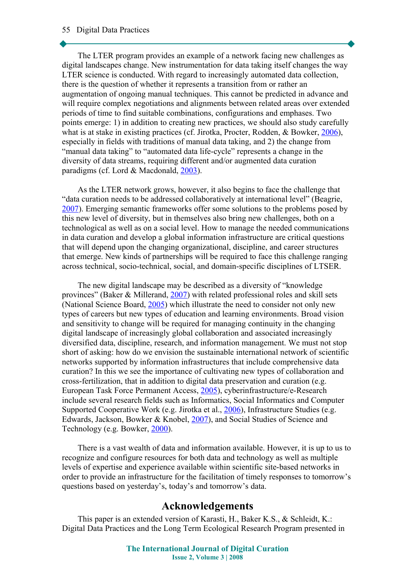#### 55 Digital Data Practices

The LTER program provides an example of a network facing new challenges as digital landscapes change. New instrumentation for data taking itself changes the way LTER science is conducted. With regard to increasingly automated data collection, there is the question of whether it represents a transition from or rather an augmentation of ongoing manual techniques. This cannot be predicted in advance and will require complex negotiations and alignments between related areas over extended periods of time to find suitable combinations, configurations and emphases. Two points emerge: 1) in addition to creating new practices, we should also study carefully what is at stake in existing practices (cf. Jirotka, Procter, Rodden, & Bowker, [2006\)](#page-15-9), especially in fields with traditions of manual data taking, and 2) the change from "manual data taking" to "automated data life-cycle" represents a change in the diversity of data streams, requiring different and/or augmented data curation paradigms (cf. Lord & Macdonald, [2003\)](#page-15-1).

As the LTER network grows, however, it also begins to face the challenge that "data curation needs to be addressed collaboratively at international level" (Beagrie, [2007\)](#page-14-8). Emerging semantic frameworks offer some solutions to the problems posed by this new level of diversity, but in themselves also bring new challenges, both on a technological as well as on a social level. How to manage the needed communications in data curation and develop a global information infrastructure are critical questions that will depend upon the changing organizational, discipline, and career structures that emerge. New kinds of partnerships will be required to face this challenge ranging across technical, socio-technical, social, and domain-specific disciplines of LTSER.

The new digital landscape may be described as a diversity of "knowledge provinces" (Baker & Millerand, [2007\)](#page-14-7) with related professional roles and skill sets (National Science Board, [2005\)](#page-16-0) which illustrate the need to consider not only new types of careers but new types of education and learning environments. Broad vision and sensitivity to change will be required for managing continuity in the changing digital landscape of increasingly global collaboration and associated increasingly diversified data, discipline, research, and information management. We must not stop short of asking: how do we envision the sustainable international network of scientific networks supported by information infrastructures that include comprehensive data curation? In this we see the importance of cultivating new types of collaboration and cross-fertilization, that in addition to digital data preservation and curation (e.g. European Task Force Permanent Access, [2005\)](#page-15-10), cyberinfrastructure/e-Research include several research fields such as Informatics, Social Informatics and Computer Supported Cooperative Work (e.g. Jirotka et al., [2006\)](#page-15-9), Infrastructure Studies (e.g. Edwards, Jackson, Bowker & Knobel, [2007\)](#page-14-6), and Social Studies of Science and Technology (e.g. Bowker, [2000\)](#page-14-3).

There is a vast wealth of data and information available. However, it is up to us to recognize and configure resources for both data and technology as well as multiple levels of expertise and experience available within scientific site-based networks in order to provide an infrastructure for the facilitation of timely responses to tomorrow's questions based on yesterday's, today's and tomorrow's data.

## **Acknowledgements**

This paper is an extended version of Karasti, H., Baker K.S., & Schleidt, K.: Digital Data Practices and the Long Term Ecological Research Program presented in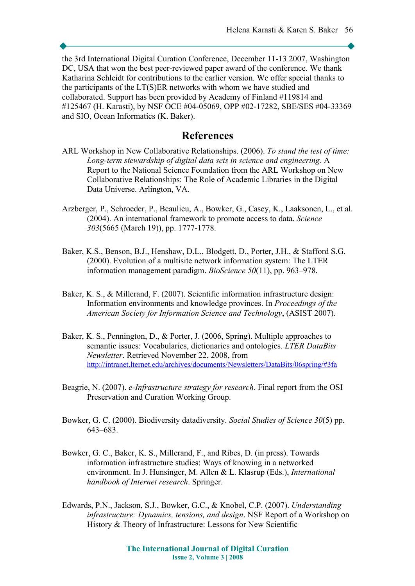the 3rd International Digital Curation Conference, December 11-13 2007, Washington DC, USA that won the best peer-reviewed paper award of the conference. We thank Katharina Schleidt for contributions to the earlier version. We offer special thanks to the participants of the LT(S)ER networks with whom we have studied and collaborated. Support has been provided by Academy of Finland #119814 and #125467 (H. Karasti), by NSF OCE #04-05069, OPP #02-17282, SBE/SES #04-33369 and SIO, Ocean Informatics (K. Baker).

## **References**

- <span id="page-14-0"></span>ARL Workshop in New Collaborative Relationships. (2006). *To stand the test of time: Long-term stewardship of digital data sets in science and engineering*. A Report to the National Science Foundation from the ARL Workshop on New Collaborative Relationships: The Role of Academic Libraries in the Digital Data Universe. Arlington, VA.
- <span id="page-14-2"></span>Arzberger, P., Schroeder, P., Beaulieu, A., Bowker, G., Casey, K., Laaksonen, L., et al. (2004). An international framework to promote access to data. *Science 303*(5665 (March 19)), pp. 1777-1778.
- <span id="page-14-1"></span>Baker, K.S., Benson, B.J., Henshaw, D.L., Blodgett, D., Porter, J.H., & Stafford S.G. (2000). Evolution of a multisite network information system: The LTER information management paradigm. *BioScience 50*(11), pp. 963–978.
- <span id="page-14-7"></span>Baker, K. S., & Millerand, F. (2007). Scientific information infrastructure design: Information environments and knowledge provinces. In *Proceedings of the American Society for Information Science and Technology*, (ASIST 2007).
- <span id="page-14-4"></span>Baker, K. S., Pennington, D., & Porter, J. (2006, Spring). Multiple approaches to semantic issues: Vocabularies, dictionaries and ontologies. *LTER DataBits Newsletter*. Retrieved November 22, 2008, from <http://intranet.lternet.edu/archives/documents/Newsletters/DataBits/06spring/#3fa>
- <span id="page-14-8"></span>Beagrie, N. (2007). *e-Infrastructure strategy for research*. Final report from the OSI Preservation and Curation Working Group.
- <span id="page-14-3"></span>Bowker, G. C. (2000). Biodiversity datadiversity. *Social Studies of Science 30*(5) pp. 643–683.
- <span id="page-14-5"></span>Bowker, G. C., Baker, K. S., Millerand, F., and Ribes, D. (in press). Towards information infrastructure studies: Ways of knowing in a networked environment. In J. Hunsinger, M. Allen & L. Klasrup (Eds.), *International handbook of Internet research*. Springer.
- <span id="page-14-6"></span>Edwards, P.N., Jackson, S.J., Bowker, G.C., & Knobel, C.P. (2007). *Understanding infrastructure: Dynamics, tensions, and design*. NSF Report of a Workshop on History & Theory of Infrastructure: Lessons for New Scientific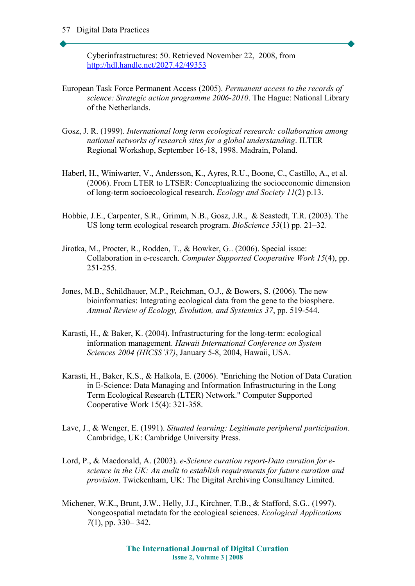Cyberinfrastructures: 50. Retrieved November 22, 2008, from <http://hdl.handle.net/2027.42/49353>

- <span id="page-15-10"></span>European Task Force Permanent Access (2005). *Permanent access to the records of science: Strategic action programme 2006-2010*. The Hague: National Library of the Netherlands.
- <span id="page-15-7"></span>Gosz, J. R. (1999). *International long term ecological research: collaboration among national networks of research sites for a global understanding*. ILTER Regional Workshop, September 16-18, 1998. Madrain, Poland.
- <span id="page-15-3"></span>Haberl, H., Winiwarter, V., Andersson, K., Ayres, R.U., Boone, C., Castillo, A., et al. (2006). From LTER to LTSER: Conceptualizing the socioeconomic dimension of long-term socioecological research. *Ecology and Society 11*(2) p.13.
- <span id="page-15-0"></span>Hobbie, J.E., Carpenter, S.R., Grimm, N.B., Gosz, J.R., & Seastedt, T.R. (2003). The US long term ecological research program. *BioScience 53*(1) pp. 21–32.
- <span id="page-15-9"></span>Jirotka, M., Procter, R., Rodden, T., & Bowker, G.. (2006). Special issue: Collaboration in e-research. *Computer Supported Cooperative Work 15*(4), pp. 251-255.
- <span id="page-15-8"></span>Jones, M.B., Schildhauer, M.P., Reichman, O.J., & Bowers, S. (2006). The new bioinformatics: Integrating ecological data from the gene to the biosphere. *Annual Review of Ecology, Evolution, and Systemics 37*, pp. 519-544.
- <span id="page-15-5"></span>Karasti, H., & Baker, K. (2004). Infrastructuring for the long-term: ecological information management. *Hawaii International Conference on System Sciences 2004 (HICSS'37)*, January 5-8, 2004, Hawaii, USA.
- <span id="page-15-4"></span>Karasti, H., Baker, K.S., & Halkola, E. (2006). "Enriching the Notion of Data Curation in E-Science: Data Managing and Information Infrastructuring in the Long Term Ecological Research (LTER) Network." Computer Supported Cooperative Work 15(4): 321-358.
- <span id="page-15-6"></span>Lave, J., & Wenger, E. (1991). *Situated learning: Legitimate peripheral participation*. Cambridge, UK: Cambridge University Press.
- <span id="page-15-1"></span>Lord, P., & Macdonald, A. (2003). *e-Science curation report-Data curation for escience in the UK: An audit to establish requirements for future curation and provision*. Twickenham, UK: The Digital Archiving Consultancy Limited.
- <span id="page-15-2"></span>Michener, W.K., Brunt, J.W., Helly, J.J., Kirchner, T.B., & Stafford, S.G.. (1997). Nongeospatial metadata for the ecological sciences. *Ecological Applications 7*(1), pp. 330– 342.